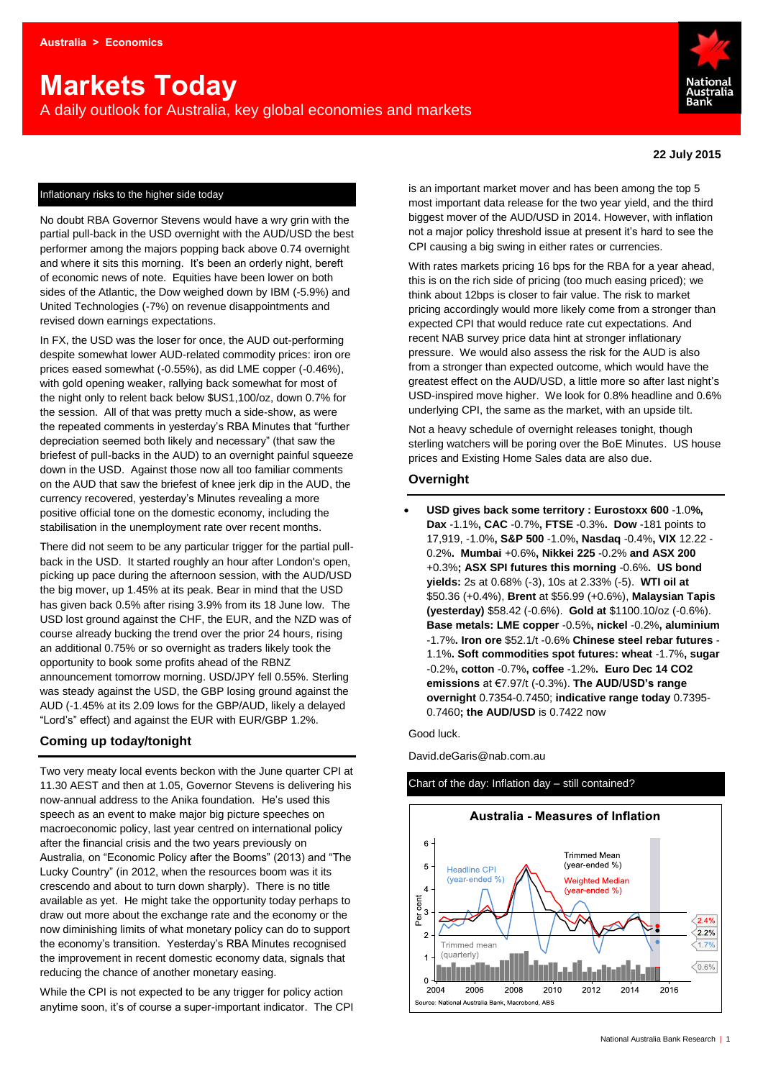# **Markets Today**

A daily outlook for Australia, key global economies and markets



#### **22 July 2015**

#### Inflationary risks to the higher side today

No doubt RBA Governor Stevens would have a wry grin with the partial pull-back in the USD overnight with the AUD/USD the best performer among the majors popping back above 0.74 overnight and where it sits this morning. It's been an orderly night, bereft of economic news of note. Equities have been lower on both sides of the Atlantic, the Dow weighed down by IBM (-5.9%) and United Technologies (-7%) on revenue disappointments and revised down earnings expectations.

In FX, the USD was the loser for once, the AUD out-performing despite somewhat lower AUD-related commodity prices: iron ore prices eased somewhat (-0.55%), as did LME copper (-0.46%), with gold opening weaker, rallying back somewhat for most of the night only to relent back below \$US1,100/oz, down 0.7% for the session. All of that was pretty much a side-show, as were the repeated comments in yesterday's RBA Minutes that "further depreciation seemed both likely and necessary" (that saw the briefest of pull-backs in the AUD) to an overnight painful squeeze down in the USD. Against those now all too familiar comments on the AUD that saw the briefest of knee jerk dip in the AUD, the currency recovered, yesterday's Minutes revealing a more positive official tone on the domestic economy, including the stabilisation in the unemployment rate over recent months.

There did not seem to be any particular trigger for the partial pullback in the USD. It started roughly an hour after London's open, picking up pace during the afternoon session, with the AUD/USD the big mover, up 1.45% at its peak. Bear in mind that the USD has given back 0.5% after rising 3.9% from its 18 June low. The USD lost ground against the CHF, the EUR, and the NZD was of course already bucking the trend over the prior 24 hours, rising an additional 0.75% or so overnight as traders likely took the opportunity to book some profits ahead of the RBNZ announcement tomorrow morning. USD/JPY fell 0.55%. Sterling was steady against the USD, the GBP losing ground against the AUD (-1.45% at its 2.09 lows for the GBP/AUD, likely a delayed "Lord's" effect) and against the EUR with EUR/GBP 1.2%.

## **Coming up today/tonight**

Two very meaty local events beckon with the June quarter CPI at 11.30 AEST and then at 1.05, Governor Stevens is delivering his now-annual address to the Anika foundation. He's used this speech as an event to make major big picture speeches on macroeconomic policy, last year centred on international policy after the financial crisis and the two years previously on Australia, on "Economic Policy after the Booms" (2013) and "The Lucky Country" (in 2012, when the resources boom was it its crescendo and about to turn down sharply). There is no title available as yet. He might take the opportunity today perhaps to draw out more about the exchange rate and the economy or the now diminishing limits of what monetary policy can do to support the economy's transition. Yesterday's RBA Minutes recognised the improvement in recent domestic economy data, signals that reducing the chance of another monetary easing.

While the CPI is not expected to be any trigger for policy action anytime soon, it's of course a super-important indicator. The CPI

is an important market mover and has been among the top 5 most important data release for the two year yield, and the third biggest mover of the AUD/USD in 2014. However, with inflation not a major policy threshold issue at present it's hard to see the CPI causing a big swing in either rates or currencies.

With rates markets pricing 16 bps for the RBA for a year ahead, this is on the rich side of pricing (too much easing priced); we think about 12bps is closer to fair value. The risk to market pricing accordingly would more likely come from a stronger than expected CPI that would reduce rate cut expectations. And recent NAB survey price data hint at stronger inflationary pressure. We would also assess the risk for the AUD is also from a stronger than expected outcome, which would have the greatest effect on the AUD/USD, a little more so after last night's USD-inspired move higher. We look for 0.8% headline and 0.6% underlying CPI, the same as the market, with an upside tilt.

Not a heavy schedule of overnight releases tonight, though sterling watchers will be poring over the BoE Minutes. US house prices and Existing Home Sales data are also due.

## **Overnight**

 **USD gives back some territory : Eurostoxx 600** -1.0**%, Dax** -1.1%**, CAC** -0.7%**, FTSE** -0.3%**. Dow** -181 points to 17,919, -1.0%**, S&P 500** -1.0%**, Nasdaq** -0.4%**, VIX** 12.22 - 0.2%**. Mumbai** +0.6%**, Nikkei 225** -0.2% **and ASX 200** +0.3%**; ASX SPI futures this morning** -0.6%**. US bond yields:** 2s at 0.68% (-3), 10s at 2.33% (-5). **WTI oil at**  \$50.36 (+0.4%), **Brent** at \$56.99 (+0.6%), **Malaysian Tapis (yesterday)** \$58.42 (-0.6%). **Gold at** \$1100.10/oz (-0.6%). **Base metals: LME copper** -0.5%**, nickel** -0.2%**, aluminium** -1.7%**. Iron ore** \$52.1/t -0.6% **Chinese steel rebar futures** - 1.1%**. Soft commodities spot futures: wheat** -1.7%**, sugar** -0.2%**, cotton** -0.7%**, coffee** -1.2%**. Euro Dec 14 CO2 emissions** at €7.97/t (-0.3%). **The AUD/USD's range overnight** 0.7354-0.7450; **indicative range today** 0.7395- 0.7460**; the AUD/USD** is 0.7422 now

Good luck.

David.deGaris@nab.com.au

### Chart of the day: Inflation day – still contained?

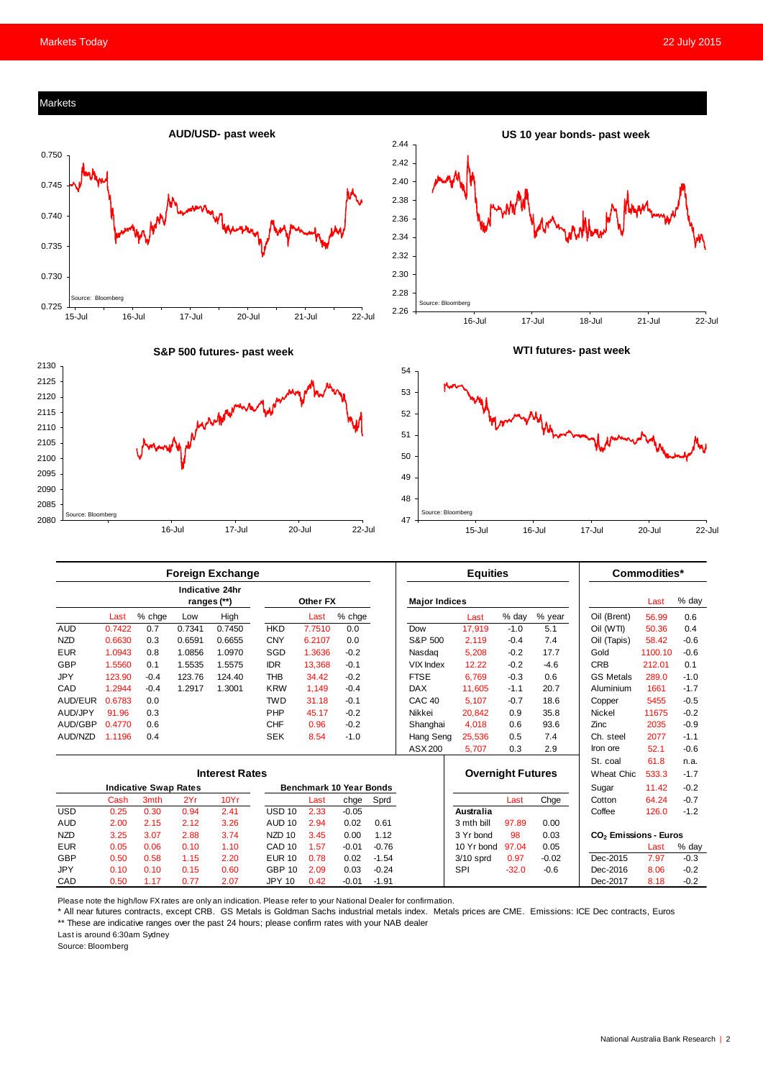

| Foreign Exchange             |        |        |        |                                       |                   |          |         | cquities |                          |                  |         | Commodities <sup>.</sup> |                                   |         |        |
|------------------------------|--------|--------|--------|---------------------------------------|-------------------|----------|---------|----------|--------------------------|------------------|---------|--------------------------|-----------------------------------|---------|--------|
|                              |        |        |        | <b>Indicative 24hr</b><br>ranges (**) |                   | Other FX |         |          | <b>Major Indices</b>     |                  |         |                          |                                   | Last    | % day  |
|                              | Last   | % chge | Low    | High                                  |                   | Last     | % chge  |          |                          | Last             | % day   | % year                   | Oil (Brent)                       | 56.99   | 0.6    |
| <b>AUD</b>                   | 0.7422 | 0.7    | 0.7341 | 0.7450                                | <b>HKD</b>        | 7.7510   | 0.0     |          | Dow                      | 17,919           | $-1.0$  | 5.1                      | Oil (WTI)                         | 50.36   | 0.4    |
| <b>NZD</b>                   | 0.6630 | 0.3    | 0.6591 | 0.6655                                | <b>CNY</b>        | 6.2107   | 0.0     |          | S&P 500                  | 2.119            | $-0.4$  | 7.4                      | Oil (Tapis)                       | 58.42   | $-0.6$ |
| <b>EUR</b>                   | 1.0943 | 0.8    | 1.0856 | 1.0970                                | SGD               | 1.3636   | $-0.2$  |          | Nasdag                   | 5,208            | $-0.2$  | 17.7                     | Gold                              | 1100.10 | $-0.6$ |
| <b>GBP</b>                   | 1.5560 | 0.1    | 1.5535 | 1.5575                                | <b>IDR</b>        | 13.368   | $-0.1$  |          | VIX Index                | 12.22            | $-0.2$  | $-4.6$                   | <b>CRB</b>                        | 212.01  | 0.1    |
| JPY                          | 123.90 | $-0.4$ | 123.76 | 124.40                                | <b>THB</b>        | 34.42    | $-0.2$  |          | <b>FTSE</b>              | 6.769            | $-0.3$  | 0.6                      | <b>GS Metals</b>                  | 289.0   | $-1.0$ |
| CAD                          | 1.2944 | $-0.4$ | 1.2917 | 1.3001                                | <b>KRW</b>        | 1,149    | $-0.4$  |          | <b>DAX</b>               | 11,605           | $-1.1$  | 20.7                     | Aluminium                         | 1661    | $-1.7$ |
| AUD/EUR                      | 0.6783 | 0.0    |        |                                       | <b>TWD</b>        | 31.18    | $-0.1$  |          | CAC <sub>40</sub>        | 5,107            | $-0.7$  | 18.6                     | Copper                            | 5455    | $-0.5$ |
| AUD/JPY                      | 91.96  | 0.3    |        |                                       | PHP               | 45.17    | $-0.2$  |          | Nikkei                   | 20,842           | 0.9     | 35.8                     | <b>Nickel</b>                     | 11675   | $-0.2$ |
| AUD/GBP                      | 0.4770 | 0.6    |        |                                       | <b>CHF</b>        | 0.96     | $-0.2$  |          | Shanghai                 | 4,018            | 0.6     | 93.6                     | Zinc                              | 2035    | $-0.9$ |
| AUD/NZD                      | 1.1196 | 0.4    |        |                                       | <b>SEK</b>        | 8.54     | $-1.0$  |          | Hang Seng                | 25,536           | 0.5     | 7.4                      | Ch. steel                         | 2077    | $-1.1$ |
|                              |        |        |        |                                       |                   |          |         |          | ASX 200                  | 5,707            | 0.3     | 2.9                      | Iron ore                          | 52.1    | $-0.6$ |
|                              |        |        |        |                                       |                   |          |         |          |                          |                  |         |                          | St. coal                          | 61.8    | n.a.   |
| <b>Interest Rates</b>        |        |        |        |                                       |                   |          |         |          | <b>Overnight Futures</b> |                  |         | Wheat Chic.              | 533.3                             | $-1.7$  |        |
| <b>Indicative Swap Rates</b> |        |        |        | <b>Benchmark 10 Year Bonds</b>        |                   |          |         |          |                          |                  |         | Sugar                    | 11.42                             | $-0.2$  |        |
|                              | Cash   | 3mth   | 2Yr    | 10Yr                                  |                   | Last     | chge    | Sprd     |                          |                  | Last    | Chge                     | Cotton                            | 64.24   | $-0.7$ |
| <b>USD</b>                   | 0.25   | 0.30   | 0.94   | 2.41                                  | <b>USD 10</b>     | 2.33     | $-0.05$ |          |                          | <b>Australia</b> |         |                          | Coffee                            | 126.0   | $-1.2$ |
| <b>AUD</b>                   | 2.00   | 2.15   | 2.12   | 3.26                                  | AUD <sub>10</sub> | 2.94     | 0.02    | 0.61     |                          | 3 mth bill       | 97.89   | 0.00                     |                                   |         |        |
| <b>NZD</b>                   | 3.25   | 3.07   | 2.88   | 3.74                                  | NZD <sub>10</sub> | 3.45     | 0.00    | 1.12     |                          | 3 Yr bond        | 98      | 0.03                     | CO <sub>2</sub> Emissions - Euros |         |        |
| <b>EUR</b>                   | 0.05   | 0.06   | 0.10   | 1.10                                  | CAD <sub>10</sub> | 1.57     | $-0.01$ | $-0.76$  |                          | 10 Yr bond       | 97.04   | 0.05                     |                                   | Last    | % day  |
| GBP                          | 0.50   | 0.58   | 1.15   | 2.20                                  | <b>EUR 10</b>     | 0.78     | 0.02    | $-1.54$  |                          | $3/10$ sprd      | 0.97    | $-0.02$                  | Dec-2015                          | 7.97    | $-0.3$ |
| <b>JPY</b>                   | 0.10   | 0.10   | 0.15   | 0.60                                  | <b>GBP 10</b>     | 2.09     | 0.03    | $-0.24$  |                          | SPI              | $-32.0$ | $-0.6$                   | Dec-2016                          | 8.06    | $-0.2$ |
| CAD                          | 0.50   | 1.17   | 0.77   | 2.07                                  | <b>JPY 10</b>     | 0.42     | $-0.01$ | $-1.91$  |                          |                  |         |                          | Dec-2017                          | 8.18    | $-0.2$ |

Please note the high/low FX rates are only an indication. Please refer to your National Dealer for confirmation.

\* All near futures contracts, except CRB. GS Metals is Goldman Sachs industrial metals index. Metals prices are CME. Emissions: ICE Dec contracts, Euros \*\* These are indicative ranges over the past 24 hours; please confirm rates with your NAB dealer

Last is around 6:30am Sydney

Source: Bloomberg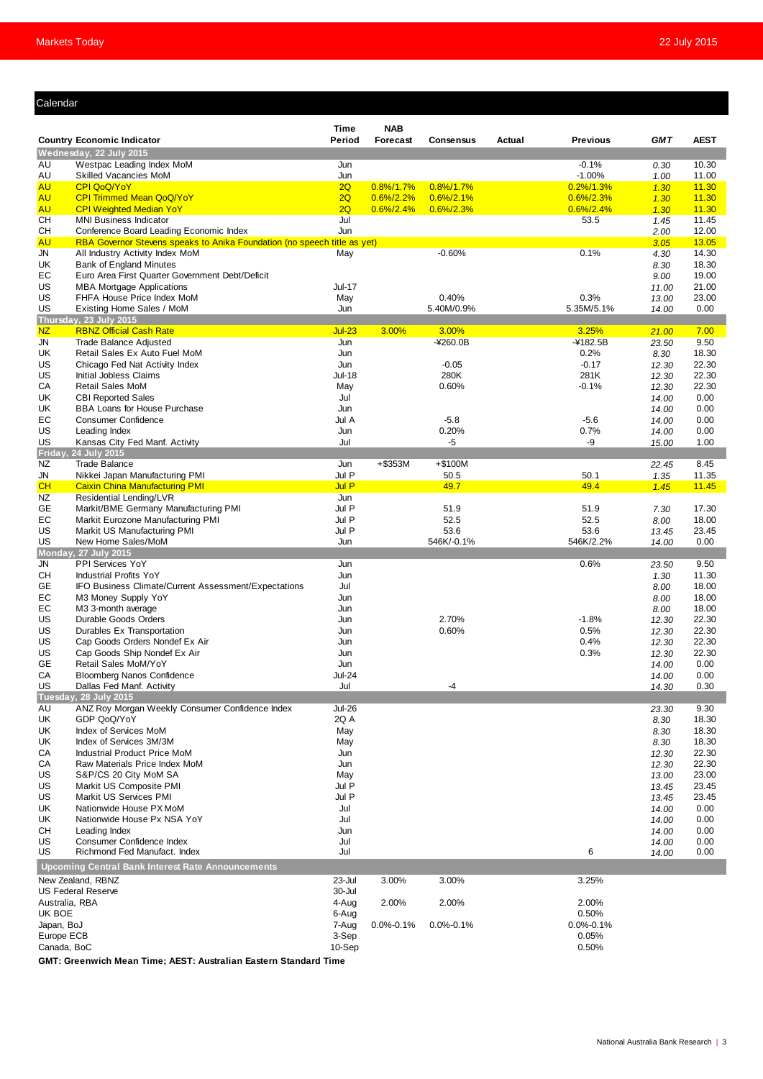## Calendar

| Calendar                                          |                                                                                       |                      |                                |                                |        |                                |                |                |  |  |
|---------------------------------------------------|---------------------------------------------------------------------------------------|----------------------|--------------------------------|--------------------------------|--------|--------------------------------|----------------|----------------|--|--|
|                                                   |                                                                                       | <b>Time</b>          | <b>NAB</b>                     |                                |        |                                |                |                |  |  |
|                                                   | <b>Country Economic Indicator</b>                                                     | Period               | Forecast                       | Consensus                      | Actual | <b>Previous</b>                | <b>GMT</b>     | <b>AEST</b>    |  |  |
|                                                   | Wednesday, 22 July 2015                                                               |                      |                                |                                |        |                                |                |                |  |  |
| AU                                                | Westpac Leading Index MoM                                                             | Jun                  |                                |                                |        | $-0.1%$                        | 0.30           | 10.30          |  |  |
| AU                                                | <b>Skilled Vacancies MoM</b>                                                          | Jun                  |                                |                                |        | $-1.00%$                       | 1.00           | 11.00          |  |  |
| <b>AU</b><br><b>AU</b>                            | CPI QoQ/YoY<br><b>CPI Trimmed Mean QoQ/YoY</b>                                        | 2Q<br>2Q             | $0.8\%/1.7\%$<br>$0.6\%/2.2\%$ | $0.8\%/1.7\%$<br>$0.6\%/2.1\%$ |        | $0.2\%/1.3\%$<br>$0.6\%/2.3\%$ | 1.30<br>1.30   | 11.30<br>11.30 |  |  |
| <b>AU</b>                                         | <b>CPI Weighted Median YoY</b>                                                        | 2Q                   | $0.6\%/2.4\%$                  | 0.6%/2.3%                      |        | $0.6\%/2.4\%$                  | 1.30           | 11.30          |  |  |
| CН                                                | <b>MNI Business Indicator</b>                                                         | Jul                  |                                |                                |        | 53.5                           | 1.45           | 11.45          |  |  |
| CН                                                | Conference Board Leading Economic Index                                               | Jun                  |                                |                                |        |                                | 2.00           | 12.00          |  |  |
| <b>AU</b>                                         | RBA Governor Stevens speaks to Anika Foundation (no speech title as yet)              |                      |                                |                                |        |                                | 3.05           | 13.05          |  |  |
| JN                                                | All Industry Activity Index MoM                                                       | May                  |                                | $-0.60%$                       |        | 0.1%                           | 4.30           | 14.30          |  |  |
| UK<br>EС                                          | Bank of England Minutes<br>Euro Area First Quarter Government Debt/Deficit            |                      |                                |                                |        |                                | 8.30           | 18.30<br>19.00 |  |  |
| US                                                | <b>MBA Mortgage Applications</b>                                                      | <b>Jul-17</b>        |                                |                                |        |                                | 9.00<br>11.00  | 21.00          |  |  |
| US                                                | FHFA House Price Index MoM                                                            | May                  |                                | 0.40%                          |        | 0.3%                           | 13.00          | 23.00          |  |  |
| US                                                | Existing Home Sales / MoM                                                             | Jun                  |                                | 5.40M/0.9%                     |        | 5.35M/5.1%                     | 14.00          | 0.00           |  |  |
|                                                   | Thursday, 23 July 2015                                                                |                      |                                |                                |        |                                |                |                |  |  |
| NZ                                                | <b>RBNZ Official Cash Rate</b>                                                        | $Jul-23$             | 3.00%                          | 3.00%                          |        | 3.25%                          | 21.00          | 7.00           |  |  |
| JN                                                | <b>Trade Balance Adjusted</b>                                                         | Jun                  |                                | $-4260.0B$                     |        | $-4182.5B$                     | 23.50          | 9.50           |  |  |
| UK                                                | Retail Sales Ex Auto Fuel MoM                                                         | Jun                  |                                |                                |        | 0.2%                           | 8.30           | 18.30          |  |  |
| US<br>US                                          | Chicago Fed Nat Activity Index<br>Initial Jobless Claims                              | Jun<br><b>Jul-18</b> |                                | $-0.05$<br>280K                |        | $-0.17$<br>281K                | 12.30<br>12.30 | 22.30<br>22.30 |  |  |
| СA                                                | <b>Retail Sales MoM</b>                                                               | May                  |                                | 0.60%                          |        | $-0.1%$                        | 12.30          | 22.30          |  |  |
| UK                                                | <b>CBI Reported Sales</b>                                                             | Jul                  |                                |                                |        |                                | 14.00          | 0.00           |  |  |
| UK                                                | <b>BBA Loans for House Purchase</b>                                                   | Jun                  |                                |                                |        |                                | 14.00          | 0.00           |  |  |
| EС                                                | <b>Consumer Confidence</b>                                                            | Jul A                |                                | $-5.8$                         |        | $-5.6$                         | 14.00          | 0.00           |  |  |
| US                                                | Leading Index                                                                         | Jun                  |                                | 0.20%                          |        | 0.7%                           | 14.00          | 0.00           |  |  |
| US                                                | Kansas City Fed Manf. Activity                                                        | Jul                  |                                | -5                             |        | -9                             | 15.00          | 1.00           |  |  |
| Friday                                            | 24 July 2015                                                                          |                      |                                |                                |        |                                |                |                |  |  |
| NZ                                                | <b>Trade Balance</b>                                                                  | Jun                  | $+$ \$353M                     | $+$100M$                       |        |                                | 22.45          | 8.45           |  |  |
| JN<br>CH                                          | Nikkei Japan Manufacturing PMI<br><b>Caixin China Manufacturing PMI</b>               | Jul P<br>Jul P       |                                | 50.5<br>49.7                   |        | 50.1<br>49.4                   | 1.35<br>1.45   | 11.35<br>11.45 |  |  |
| NZ                                                | Residential Lending/LVR                                                               | Jun                  |                                |                                |        |                                |                |                |  |  |
| GE                                                | Markit/BME Germany Manufacturing PMI                                                  | Jul P                |                                | 51.9                           |        | 51.9                           | 7.30           | 17.30          |  |  |
| EC                                                | Markit Eurozone Manufacturing PMI                                                     | Jul P                |                                | 52.5                           |        | 52.5                           | 8.00           | 18.00          |  |  |
| US                                                | Markit US Manufacturing PMI                                                           | Jul P                |                                | 53.6                           |        | 53.6                           | 13.45          | 23.45          |  |  |
| US                                                | New Home Sales/MoM                                                                    | Jun                  |                                | 546K/-0.1%                     |        | 546K/2.2%                      | 14.00          | 0.00           |  |  |
|                                                   | Monday, 27 July 2015                                                                  |                      |                                |                                |        |                                |                |                |  |  |
| JN                                                | PPI Services YoY                                                                      | Jun                  |                                |                                |        | 0.6%                           | 23.50          | 9.50           |  |  |
| CН<br>GЕ                                          | <b>Industrial Profits YoY</b><br>IFO Business Climate/Current Assessment/Expectations | Jun<br>Jul           |                                |                                |        |                                | 1.30<br>8.00   | 11.30<br>18.00 |  |  |
| EC                                                | M3 Money Supply YoY                                                                   | Jun                  |                                |                                |        |                                | 8.00           | 18.00          |  |  |
| EC                                                | M3 3-month average                                                                    | Jun                  |                                |                                |        |                                | 8.00           | 18.00          |  |  |
| US                                                | Durable Goods Orders                                                                  | Jun                  |                                | 2.70%                          |        | $-1.8%$                        | 12.30          | 22.30          |  |  |
| US                                                | Durables Ex Transportation                                                            | Jun                  |                                | 0.60%                          |        | 0.5%                           | 12.30          | 22.30          |  |  |
| US                                                | Cap Goods Orders Nondef Ex Air                                                        | Jun                  |                                |                                |        | 0.4%                           | 12.30          | 22.30          |  |  |
| US                                                | Cap Goods Ship Nondef Ex Air                                                          | Jun                  |                                |                                |        | 0.3%                           | 12.30          | 22.30          |  |  |
| GЕ                                                | Retail Sales MoM/YoY                                                                  | Jun                  |                                |                                |        |                                | 14.00          | 0.00           |  |  |
| CA                                                | <b>Bloomberg Nanos Confidence</b>                                                     | <b>Jul-24</b>        |                                |                                |        |                                | 14.00          | 0.00           |  |  |
| US                                                | Dallas Fed Manf. Activity<br>Tuesday, 28 July 2015                                    | Jul                  |                                | -4                             |        |                                | 14.30          | 0.30           |  |  |
| AU                                                | ANZ Roy Morgan Weekly Consumer Confidence Index                                       | <b>Jul-26</b>        |                                |                                |        |                                | 23.30          | 9.30           |  |  |
| UK                                                | GDP QoQ/YoY                                                                           | 2Q A                 |                                |                                |        |                                | 8.30           | 18.30          |  |  |
| UK                                                | Index of Services MoM                                                                 | May                  |                                |                                |        |                                | 8.30           | 18.30          |  |  |
| UK                                                | Index of Services 3M/3M                                                               | May                  |                                |                                |        |                                | 8.30           | 18.30          |  |  |
| СA                                                | <b>Industrial Product Price MoM</b>                                                   | Jun                  |                                |                                |        |                                | 12.30          | 22.30          |  |  |
| СA                                                | Raw Materials Price Index MoM                                                         | Jun                  |                                |                                |        |                                | 12.30          | 22.30          |  |  |
| US                                                | S&P/CS 20 City MoM SA                                                                 | May                  |                                |                                |        |                                | 13.00          | 23.00          |  |  |
| US<br>US                                          | Markit US Composite PMI<br>Markit US Services PMI                                     | Jul P<br>Jul P       |                                |                                |        |                                | 13.45          | 23.45          |  |  |
| UK                                                | Nationwide House PX MoM                                                               | Jul                  |                                |                                |        |                                | 13.45<br>14.00 | 23.45<br>0.00  |  |  |
| UK                                                | Nationwide House Px NSA YoY                                                           | Jul                  |                                |                                |        |                                | 14.00          | 0.00           |  |  |
| CН                                                | Leading Index                                                                         | Jun                  |                                |                                |        |                                | 14.00          | 0.00           |  |  |
| US                                                | Consumer Confidence Index                                                             | Jul                  |                                |                                |        |                                | 14.00          | 0.00           |  |  |
| US                                                | Richmond Fed Manufact. Index                                                          | Jul                  |                                |                                |        | 6                              | 14.00          | 0.00           |  |  |
| Upcoming Central Bank Interest Rate Announcements |                                                                                       |                      |                                |                                |        |                                |                |                |  |  |
|                                                   | New Zealand, RBNZ                                                                     | 23-Jul               | 3.00%                          | 3.00%                          |        | 3.25%                          |                |                |  |  |
|                                                   | <b>US Federal Reserve</b>                                                             | 30-Jul               |                                |                                |        |                                |                |                |  |  |
| Australia, RBA                                    |                                                                                       |                      | 2.00%                          | 2.00%                          |        | 2.00%                          |                |                |  |  |
| UK BOE                                            |                                                                                       | 6-Aug                |                                |                                |        | 0.50%                          |                |                |  |  |
| Japan, BoJ                                        |                                                                                       | 7-Aug                | $0.0\% - 0.1\%$                | $0.0\% - 0.1\%$                |        | $0.0\% - 0.1\%$                |                |                |  |  |
| Europe ECB                                        |                                                                                       | 3-Sep<br>10-Sep      |                                |                                |        | 0.05%<br>0.50%                 |                |                |  |  |
| Canada, BoC                                       | dah Maan Timer AFCT.                                                                  |                      |                                |                                |        |                                |                |                |  |  |

**GMT: Greenwich Mean Time; AEST: Australian Eastern Standard Time**